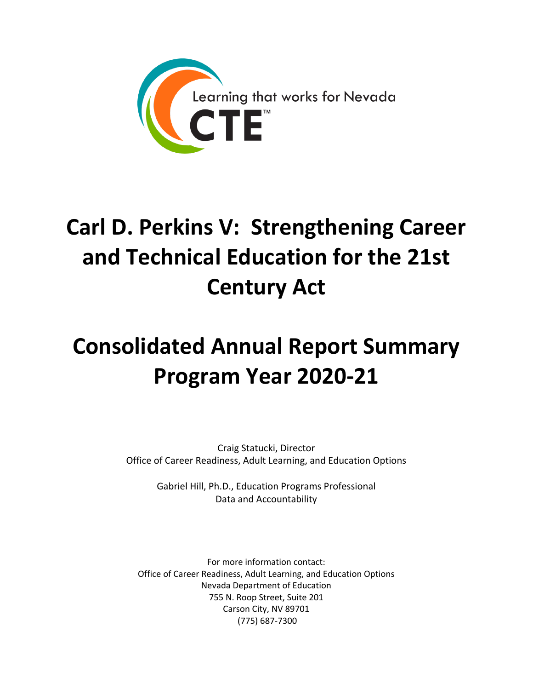

# **Carl D. Perkins V: Strengthening Career and Technical Education for the 21st Century Act**

# **Consolidated Annual Report Summary Program Year 2020-21**

Craig Statucki, Director Office of Career Readiness, Adult Learning, and Education Options

> Gabriel Hill, Ph.D., Education Programs Professional Data and Accountability

For more information contact: Office of Career Readiness, Adult Learning, and Education Options Nevada Department of Education 755 N. Roop Street, Suite 201 Carson City, NV 89701 (775) 687-7300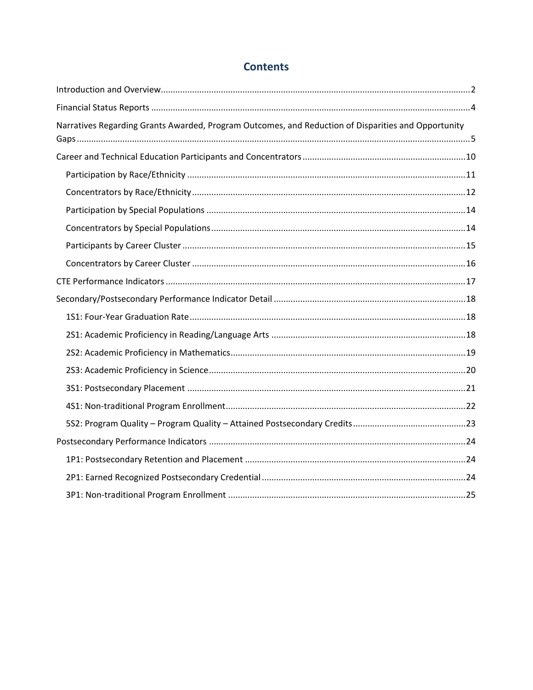## **Contents**

| Narratives Regarding Grants Awarded, Program Outcomes, and Reduction of Disparities and Opportunity |  |
|-----------------------------------------------------------------------------------------------------|--|
|                                                                                                     |  |
|                                                                                                     |  |
|                                                                                                     |  |
|                                                                                                     |  |
|                                                                                                     |  |
|                                                                                                     |  |
|                                                                                                     |  |
|                                                                                                     |  |
|                                                                                                     |  |
|                                                                                                     |  |
|                                                                                                     |  |
|                                                                                                     |  |
|                                                                                                     |  |
|                                                                                                     |  |
|                                                                                                     |  |
|                                                                                                     |  |
|                                                                                                     |  |
|                                                                                                     |  |
|                                                                                                     |  |
|                                                                                                     |  |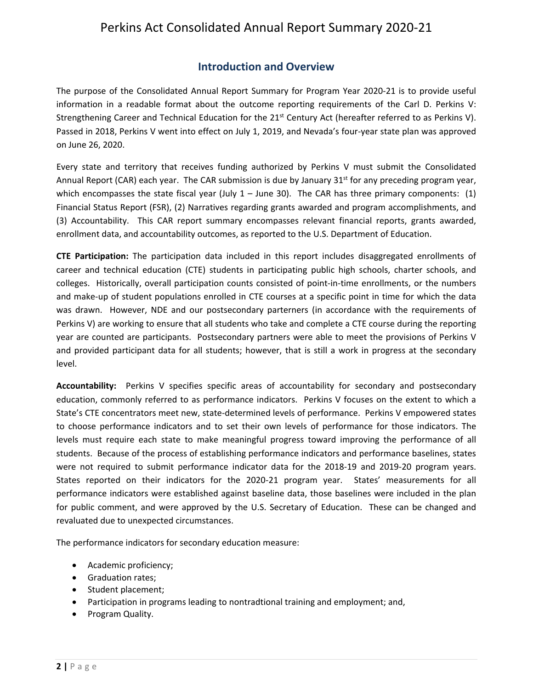## **Introduction and Overview**

<span id="page-2-0"></span>The purpose of the Consolidated Annual Report Summary for Program Year 2020-21 is to provide useful information in a readable format about the outcome reporting requirements of the Carl D. Perkins V: Strengthening Career and Technical Education for the 21<sup>st</sup> Century Act (hereafter referred to as Perkins V). Passed in 2018, Perkins V went into effect on July 1, 2019, and Nevada's four-year state plan was approved on June 26, 2020.

Every state and territory that receives funding authorized by Perkins V must submit the Consolidated Annual Report (CAR) each year. The CAR submission is due by January 31<sup>st</sup> for any preceding program year, which encompasses the state fiscal year (July  $1 -$  June 30). The CAR has three primary components: (1) Financial Status Report (FSR), (2) Narratives regarding grants awarded and program accomplishments, and (3) Accountability. This CAR report summary encompasses relevant financial reports, grants awarded, enrollment data, and accountability outcomes, as reported to the U.S. Department of Education.

**CTE Participation:** The participation data included in this report includes disaggregated enrollments of career and technical education (CTE) students in participating public high schools, charter schools, and colleges. Historically, overall participation counts consisted of point-in-time enrollments, or the numbers and make-up of student populations enrolled in CTE courses at a specific point in time for which the data was drawn. However, NDE and our postsecondary parterners (in accordance with the requirements of Perkins V) are working to ensure that all students who take and complete a CTE course during the reporting year are counted are participants. Postsecondary partners were able to meet the provisions of Perkins V and provided participant data for all students; however, that is still a work in progress at the secondary level.

**Accountability:** Perkins V specifies specific areas of accountability for secondary and postsecondary education, commonly referred to as performance indicators. Perkins V focuses on the extent to which a State's CTE concentrators meet new, state-determined levels of performance. Perkins V empowered states to choose performance indicators and to set their own levels of performance for those indicators. The levels must require each state to make meaningful progress toward improving the performance of all students. Because of the process of establishing performance indicators and performance baselines, states were not required to submit performance indicator data for the 2018-19 and 2019-20 program years. States reported on their indicators for the 2020-21 program year. States' measurements for all performance indicators were established against baseline data, those baselines were included in the plan for public comment, and were approved by the U.S. Secretary of Education. These can be changed and revaluated due to unexpected circumstances.

The performance indicators for secondary education measure:

- Academic proficiency;
- Graduation rates;
- Student placement;
- Participation in programs leading to nontradtional training and employment; and,
- Program Quality.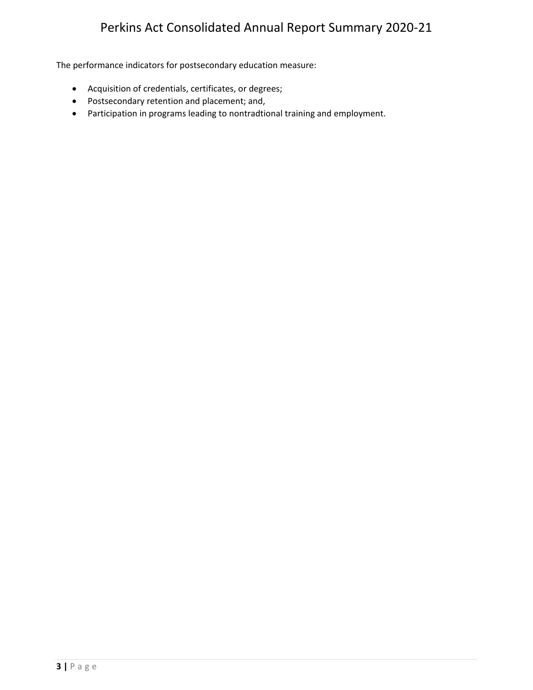The performance indicators for postsecondary education measure:

- Acquisition of credentials, certificates, or degrees;
- Postsecondary retention and placement; and,
- Participation in programs leading to nontradtional training and employment.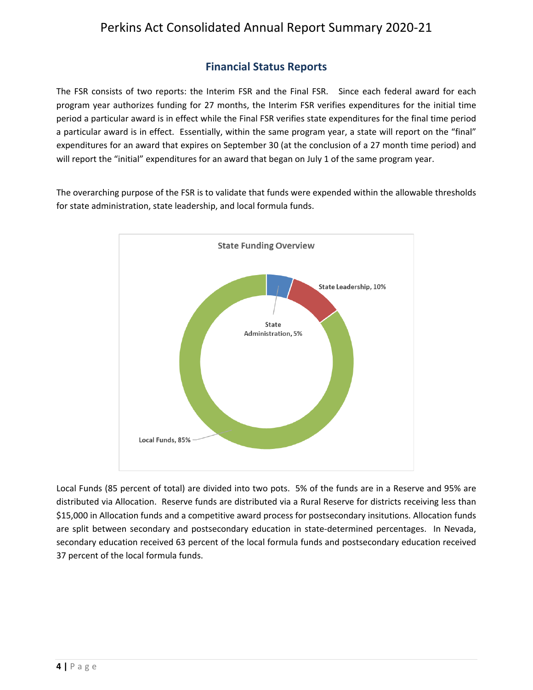## **Financial Status Reports**

<span id="page-4-0"></span>The FSR consists of two reports: the Interim FSR and the Final FSR. Since each federal award for each program year authorizes funding for 27 months, the Interim FSR verifies expenditures for the initial time period a particular award is in effect while the Final FSR verifies state expenditures for the final time period a particular award is in effect. Essentially, within the same program year, a state will report on the "final" expenditures for an award that expires on September 30 (at the conclusion of a 27 month time period) and will report the "initial" expenditures for an award that began on July 1 of the same program year.

The overarching purpose of the FSR is to validate that funds were expended within the allowable thresholds for state administration, state leadership, and local formula funds.



Local Funds (85 percent of total) are divided into two pots. 5% of the funds are in a Reserve and 95% are distributed via Allocation. Reserve funds are distributed via a Rural Reserve for districts receiving less than \$15,000 in Allocation funds and a competitive award process for postsecondary insitutions. Allocation funds are split between secondary and postsecondary education in state-determined percentages. In Nevada, secondary education received 63 percent of the local formula funds and postsecondary education received 37 percent of the local formula funds.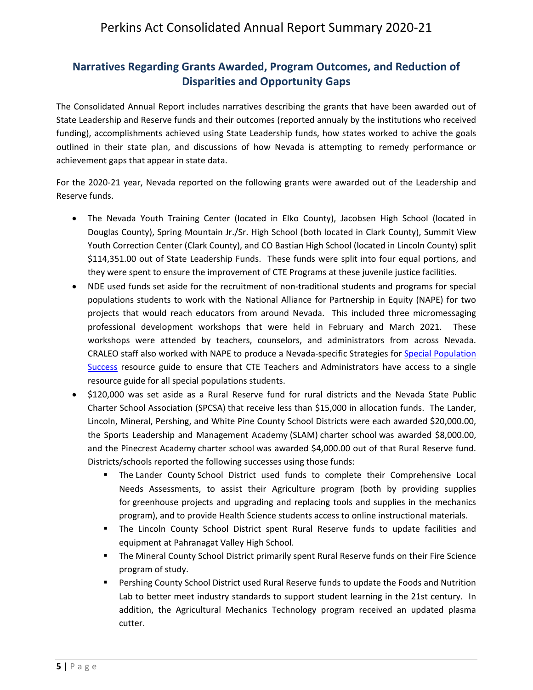## <span id="page-5-0"></span>**Narratives Regarding Grants Awarded, Program Outcomes, and Reduction of Disparities and Opportunity Gaps**

The Consolidated Annual Report includes narratives describing the grants that have been awarded out of State Leadership and Reserve funds and their outcomes (reported annualy by the institutions who received funding), accomplishments achieved using State Leadership funds, how states worked to achive the goals outlined in their state plan, and discussions of how Nevada is attempting to remedy performance or achievement gaps that appear in state data.

For the 2020-21 year, Nevada reported on the following grants were awarded out of the Leadership and Reserve funds.

- The Nevada Youth Training Center (located in Elko County), Jacobsen High School (located in Douglas County), Spring Mountain Jr./Sr. High School (both located in Clark County), Summit View Youth Correction Center (Clark County), and CO Bastian High School (located in Lincoln County) split \$114,351.00 out of State Leadership Funds. These funds were split into four equal portions, and they were spent to ensure the improvement of CTE Programs at these juvenile justice facilities.
- NDE used funds set aside for the recruitment of non-traditional students and programs for special populations students to work with the National Alliance for Partnership in Equity (NAPE) for two projects that would reach educators from around Nevada. This included three micromessaging professional development workshops that were held in February and March 2021. These workshops were attended by teachers, counselors, and administrators from across Nevada. CRALEO staff also worked with NAPE to produce a Nevada-specific Strategies for [Special Population](https://doe.nv.gov/uploadedFiles/ndedoenvgov/content/CTE/NevadaSpecialPopulationsBrief.pdf)  [Success](https://doe.nv.gov/uploadedFiles/ndedoenvgov/content/CTE/NevadaSpecialPopulationsBrief.pdf) resource guide to ensure that CTE Teachers and Administrators have access to a single resource guide for all special populations students.
- \$120,000 was set aside as a Rural Reserve fund for rural districts and the Nevada State Public Charter School Association (SPCSA) that receive less than \$15,000 in allocation funds. The Lander, Lincoln, Mineral, Pershing, and White Pine County School Districts were each awarded \$20,000.00, the Sports Leadership and Management Academy (SLAM) charter school was awarded \$8,000.00, and the Pinecrest Academy charter school was awarded \$4,000.00 out of that Rural Reserve fund. Districts/schools reported the following successes using those funds:
	- The Lander County School District used funds to complete their Comprehensive Local Needs Assessments, to assist their Agriculture program (both by providing supplies for greenhouse projects and upgrading and replacing tools and supplies in the mechanics program), and to provide Health Science students access to online instructional materials.
	- The Lincoln County School District spent Rural Reserve funds to update facilities and equipment at Pahranagat Valley High School.
	- The Mineral County School District primarily spent Rural Reserve funds on their Fire Science program of study.
	- Pershing County School District used Rural Reserve funds to update the Foods and Nutrition Lab to better meet industry standards to support student learning in the 21st century. In addition, the Agricultural Mechanics Technology program received an updated plasma cutter.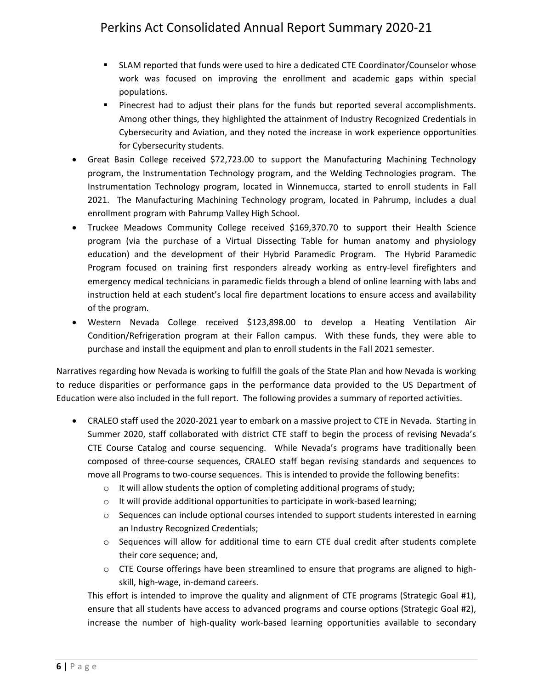- SLAM reported that funds were used to hire a dedicated CTE Coordinator/Counselor whose work was focused on improving the enrollment and academic gaps within special populations.
- **Pinecrest had to adjust their plans for the funds but reported several accomplishments.** Among other things, they highlighted the attainment of Industry Recognized Credentials in Cybersecurity and Aviation, and they noted the increase in work experience opportunities for Cybersecurity students.
- Great Basin College received \$72,723.00 to support the Manufacturing Machining Technology program, the Instrumentation Technology program, and the Welding Technologies program. The Instrumentation Technology program, located in Winnemucca, started to enroll students in Fall 2021. The Manufacturing Machining Technology program, located in Pahrump, includes a dual enrollment program with Pahrump Valley High School.
- Truckee Meadows Community College received \$169,370.70 to support their Health Science program (via the purchase of a Virtual Dissecting Table for human anatomy and physiology education) and the development of their Hybrid Paramedic Program. The Hybrid Paramedic Program focused on training first responders already working as entry-level firefighters and emergency medical technicians in paramedic fields through a blend of online learning with labs and instruction held at each student's local fire department locations to ensure access and availability of the program.
- Western Nevada College received \$123,898.00 to develop a Heating Ventilation Air Condition/Refrigeration program at their Fallon campus. With these funds, they were able to purchase and install the equipment and plan to enroll students in the Fall 2021 semester.

Narratives regarding how Nevada is working to fulfill the goals of the State Plan and how Nevada is working to reduce disparities or performance gaps in the performance data provided to the US Department of Education were also included in the full report. The following provides a summary of reported activities.

- CRALEO staff used the 2020-2021 year to embark on a massive project to CTE in Nevada. Starting in Summer 2020, staff collaborated with district CTE staff to begin the process of revising Nevada's CTE Course Catalog and course sequencing. While Nevada's programs have traditionally been composed of three-course sequences, CRALEO staff began revising standards and sequences to move all Programs to two-course sequences. This is intended to provide the following benefits:
	- o It will allow students the option of completing additional programs of study;
	- $\circ$  It will provide additional opportunities to participate in work-based learning;
	- $\circ$  Sequences can include optional courses intended to support students interested in earning an Industry Recognized Credentials;
	- o Sequences will allow for additional time to earn CTE dual credit after students complete their core sequence; and,
	- $\circ$  CTE Course offerings have been streamlined to ensure that programs are aligned to highskill, high-wage, in-demand careers.

This effort is intended to improve the quality and alignment of CTE programs (Strategic Goal #1), ensure that all students have access to advanced programs and course options (Strategic Goal #2), increase the number of high-quality work-based learning opportunities available to secondary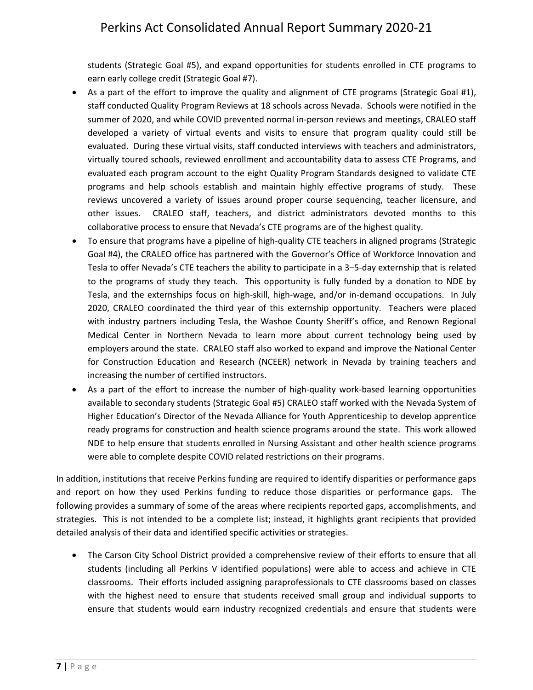students (Strategic Goal #5), and expand opportunities for students enrolled in CTE programs to earn early college credit (Strategic Goal #7).

- As a part of the effort to improve the quality and alignment of CTE programs (Strategic Goal #1), staff conducted Quality Program Reviews at 18 schools across Nevada. Schools were notified in the summer of 2020, and while COVID prevented normal in-person reviews and meetings, CRALEO staff developed a variety of virtual events and visits to ensure that program quality could still be evaluated. During these virtual visits, staff conducted interviews with teachers and administrators, virtually toured schools, reviewed enrollment and accountability data to assess CTE Programs, and evaluated each program account to the eight Quality Program Standards designed to validate CTE programs and help schools establish and maintain highly effective programs of study. These reviews uncovered a variety of issues around proper course sequencing, teacher licensure, and other issues. CRALEO staff, teachers, and district administrators devoted months to this collaborative process to ensure that Nevada's CTE programs are of the highest quality.
- To ensure that programs have a pipeline of high-quality CTE teachers in aligned programs (Strategic Goal #4), the CRALEO office has partnered with the Governor's Office of Workforce Innovation and Tesla to offer Nevada's CTE teachers the ability to participate in a 3–5-day externship that is related to the programs of study they teach. This opportunity is fully funded by a donation to NDE by Tesla, and the externships focus on high-skill, high-wage, and/or in-demand occupations. In July 2020, CRALEO coordinated the third year of this externship opportunity. Teachers were placed with industry partners including Tesla, the Washoe County Sheriff's office, and Renown Regional Medical Center in Northern Nevada to learn more about current technology being used by employers around the state. CRALEO staff also worked to expand and improve the National Center for Construction Education and Research (NCEER) network in Nevada by training teachers and increasing the number of certified instructors.
- As a part of the effort to increase the number of high-quality work-based learning opportunities available to secondary students (Strategic Goal #5) CRALEO staff worked with the Nevada System of Higher Education's Director of the Nevada Alliance for Youth Apprenticeship to develop apprentice ready programs for construction and health science programs around the state. This work allowed NDE to help ensure that students enrolled in Nursing Assistant and other health science programs were able to complete despite COVID related restrictions on their programs.

In addition, institutions that receive Perkins funding are required to identify disparities or performance gaps and report on how they used Perkins funding to reduce those disparities or performance gaps. The following provides a summary of some of the areas where recipients reported gaps, accomplishments, and strategies. This is not intended to be a complete list; instead, it highlights grant recipients that provided detailed analysis of their data and identified specific activities or strategies.

• The Carson City School District provided a comprehensive review of their efforts to ensure that all students (including all Perkins V identified populations) were able to access and achieve in CTE classrooms. Their efforts included assigning paraprofessionals to CTE classrooms based on classes with the highest need to ensure that students received small group and individual supports to ensure that students would earn industry recognized credentials and ensure that students were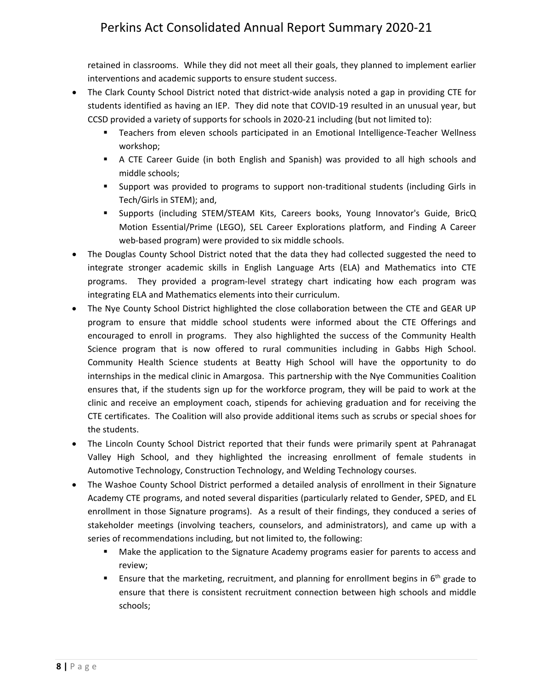retained in classrooms. While they did not meet all their goals, they planned to implement earlier interventions and academic supports to ensure student success.

- The Clark County School District noted that district-wide analysis noted a gap in providing CTE for students identified as having an IEP. They did note that COVID-19 resulted in an unusual year, but CCSD provided a variety of supports for schools in 2020-21 including (but not limited to):
	- **Teachers from eleven schools participated in an Emotional Intelligence-Teacher Wellness** workshop;
	- A CTE Career Guide (in both English and Spanish) was provided to all high schools and middle schools;
	- Support was provided to programs to support non-traditional students (including Girls in Tech/Girls in STEM); and,
	- Supports (including STEM/STEAM Kits, Careers books, Young Innovator's Guide, BricQ Motion Essential/Prime (LEGO), SEL Career Explorations platform, and Finding A Career web-based program) were provided to six middle schools.
- The Douglas County School District noted that the data they had collected suggested the need to integrate stronger academic skills in English Language Arts (ELA) and Mathematics into CTE programs. They provided a program-level strategy chart indicating how each program was integrating ELA and Mathematics elements into their curriculum.
- The Nye County School District highlighted the close collaboration between the CTE and GEAR UP program to ensure that middle school students were informed about the CTE Offerings and encouraged to enroll in programs. They also highlighted the success of the Community Health Science program that is now offered to rural communities including in Gabbs High School. Community Health Science students at Beatty High School will have the opportunity to do internships in the medical clinic in Amargosa. This partnership with the Nye Communities Coalition ensures that, if the students sign up for the workforce program, they will be paid to work at the clinic and receive an employment coach, stipends for achieving graduation and for receiving the CTE certificates. The Coalition will also provide additional items such as scrubs or special shoes for the students.
- The Lincoln County School District reported that their funds were primarily spent at Pahranagat Valley High School, and they highlighted the increasing enrollment of female students in Automotive Technology, Construction Technology, and Welding Technology courses.
- The Washoe County School District performed a detailed analysis of enrollment in their Signature Academy CTE programs, and noted several disparities (particularly related to Gender, SPED, and EL enrollment in those Signature programs). As a result of their findings, they conduced a series of stakeholder meetings (involving teachers, counselors, and administrators), and came up with a series of recommendations including, but not limited to, the following:
	- **Make the application to the Signature Academy programs easier for parents to access and** review;
	- **Ensure that the marketing, recruitment, and planning for enrollment begins in 6<sup>th</sup> grade to** ensure that there is consistent recruitment connection between high schools and middle schools;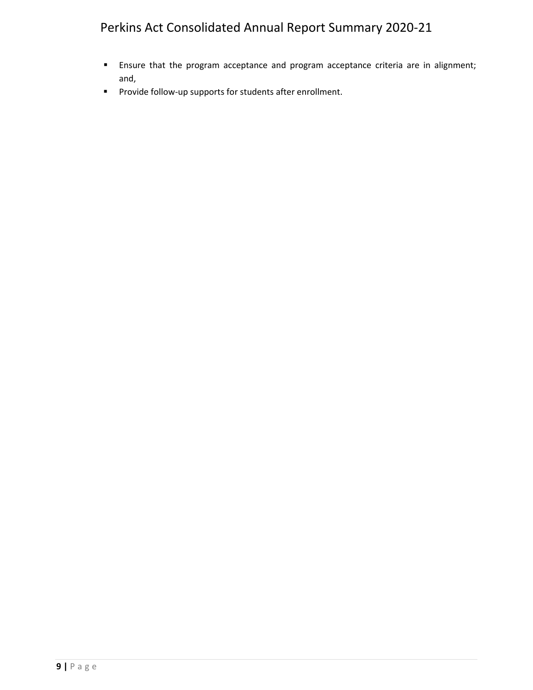- **Ensure that the program acceptance and program acceptance criteria are in alignment;** and,
- **Provide follow-up supports for students after enrollment.**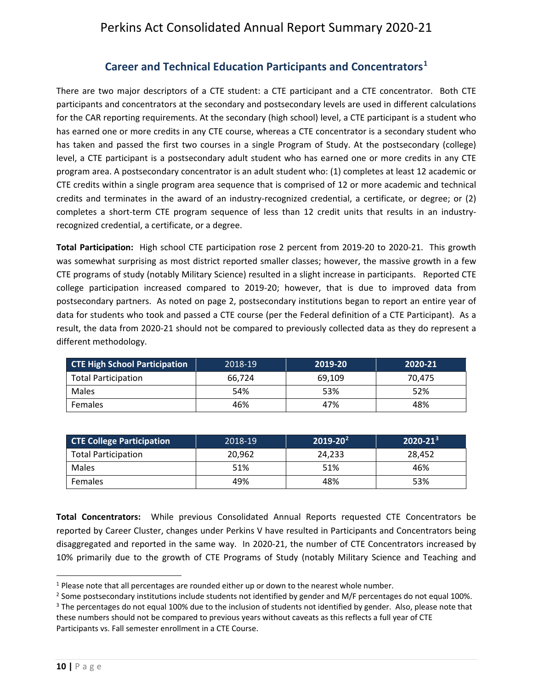## **Career and Technical Education Participants and Concentrators[1](#page-10-1)**

<span id="page-10-0"></span>There are two major descriptors of a CTE student: a CTE participant and a CTE concentrator. Both CTE participants and concentrators at the secondary and postsecondary levels are used in different calculations for the CAR reporting requirements. At the secondary (high school) level, a CTE participant is a student who has earned one or more credits in any CTE course, whereas a CTE concentrator is a secondary student who has taken and passed the first two courses in a single Program of Study. At the postsecondary (college) level, a CTE participant is a postsecondary adult student who has earned one or more credits in any CTE program area. A postsecondary concentrator is an adult student who: (1) completes at least 12 academic or CTE credits within a single program area sequence that is comprised of 12 or more academic and technical credits and terminates in the award of an industry-recognized credential, a certificate, or degree; or (2) completes a short-term CTE program sequence of less than 12 credit units that results in an industryrecognized credential, a certificate, or a degree.

**Total Participation:** High school CTE participation rose 2 percent from 2019-20 to 2020-21. This growth was somewhat surprising as most district reported smaller classes; however, the massive growth in a few CTE programs of study (notably Military Science) resulted in a slight increase in participants. Reported CTE college participation increased compared to 2019-20; however, that is due to improved data from postsecondary partners. As noted on page 2, postsecondary institutions began to report an entire year of data for students who took and passed a CTE course (per the Federal definition of a CTE Participant). As a result, the data from 2020-21 should not be compared to previously collected data as they do represent a different methodology.

| <b>CTE High School Participation</b> | 2018-19 | 2019-20 | 2020-21 |
|--------------------------------------|---------|---------|---------|
| <b>Total Participation</b>           | 66.724  | 69.109  | 70.475  |
| <b>Males</b>                         | 54%     | 53%     | 52%     |
| <b>Females</b>                       | 46%     | 47%     | 48%     |

| <b>CTE College Participation</b> | 2018-19 | $2019 - 20^{2}$ | $2020 - 21^{3}$ |
|----------------------------------|---------|-----------------|-----------------|
| <b>Total Participation</b>       | 20.962  | 24.233          | 28.452          |
| <b>Males</b>                     | 51%     | 51%             | 46%             |
| Females                          | 49%     | 48%             | 53%             |

**Total Concentrators:** While previous Consolidated Annual Reports requested CTE Concentrators be reported by Career Cluster, changes under Perkins V have resulted in Participants and Concentrators being disaggregated and reported in the same way. In 2020-21, the number of CTE Concentrators increased by 10% primarily due to the growth of CTE Programs of Study (notably Military Science and Teaching and

<span id="page-10-1"></span> $<sup>1</sup>$  Please note that all percentages are rounded either up or down to the nearest whole number.</sup>

<span id="page-10-2"></span><sup>&</sup>lt;sup>2</sup> Some postsecondary institutions include students not identified by gender and M/F percentages do not equal 100%.

<span id="page-10-3"></span><sup>&</sup>lt;sup>3</sup> The percentages do not equal 100% due to the inclusion of students not identified by gender. Also, please note that these numbers should not be compared to previous years without caveats as this reflects a full year of CTE Participants vs. Fall semester enrollment in a CTE Course.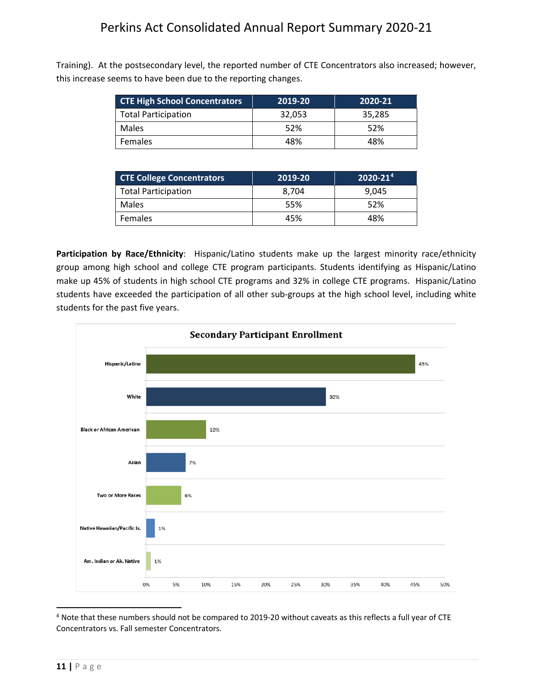Training). At the postsecondary level, the reported number of CTE Concentrators also increased; however, this increase seems to have been due to the reporting changes.

| <b>CTE High School Concentrators</b> | 2019-20 | 2020-21 |
|--------------------------------------|---------|---------|
| <b>Total Participation</b>           | 32,053  | 35.285  |
| <b>Males</b>                         | 52%     | 52%     |
| <b>Females</b>                       | 48%     | 48%     |

| <b>CTE College Concentrators</b> | 2019-20 | $2020 - 214$ |
|----------------------------------|---------|--------------|
| <b>Total Participation</b>       | 8.704   | 9.045        |
| <b>Males</b>                     | 55%     | 52%          |
| <b>Females</b>                   | 45%     | 48%          |

<span id="page-11-0"></span>**Participation by Race/Ethnicity**: Hispanic/Latino students make up the largest minority race/ethnicity group among high school and college CTE program participants. Students identifying as Hispanic/Latino make up 45% of students in high school CTE programs and 32% in college CTE programs. Hispanic/Latino students have exceeded the participation of all other sub-groups at the high school level, including white students for the past five years.



<span id="page-11-1"></span><sup>4</sup> Note that these numbers should not be compared to 2019-20 without caveats as this reflects a full year of CTE Concentrators vs. Fall semester Concentrators.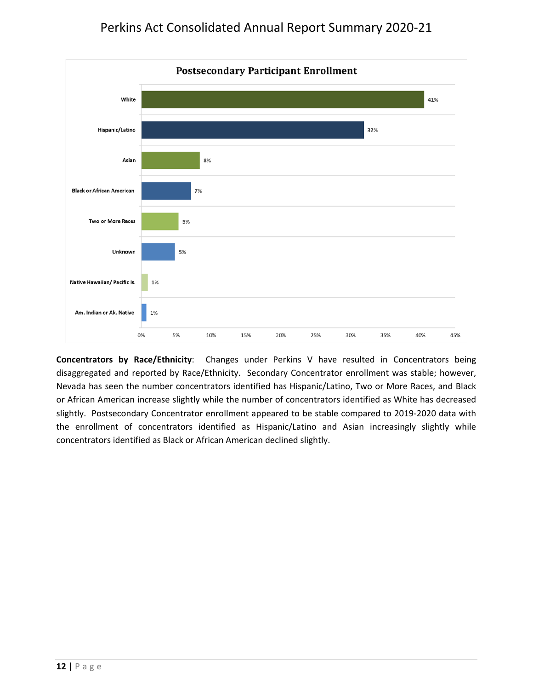

<span id="page-12-0"></span>**Concentrators by Race/Ethnicity**:Changes under Perkins V have resulted in Concentrators being disaggregated and reported by Race/Ethnicity. Secondary Concentrator enrollment was stable; however, Nevada has seen the number concentrators identified has Hispanic/Latino, Two or More Races, and Black or African American increase slightly while the number of concentrators identified as White has decreased slightly. Postsecondary Concentrator enrollment appeared to be stable compared to 2019-2020 data with the enrollment of concentrators identified as Hispanic/Latino and Asian increasingly slightly while concentrators identified as Black or African American declined slightly.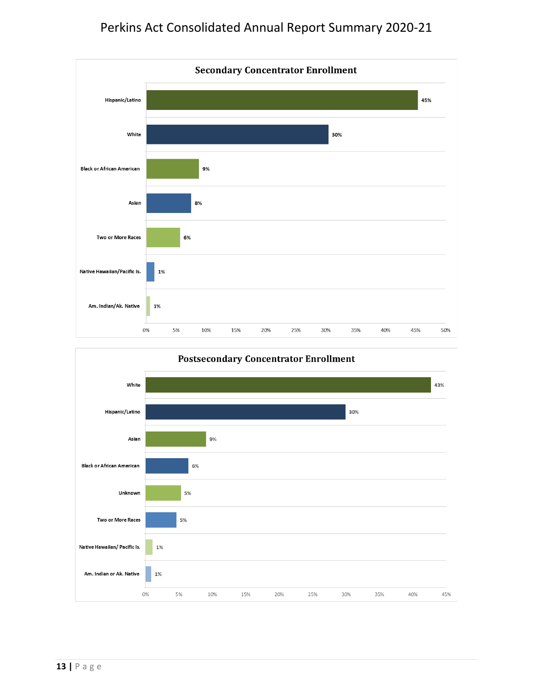

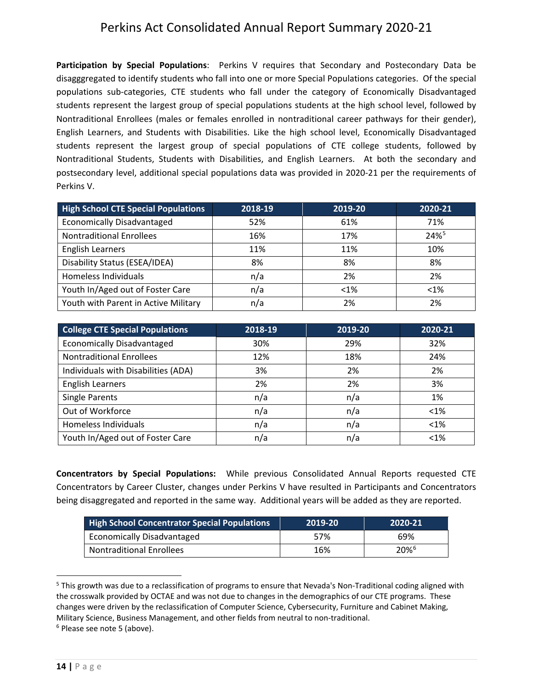<span id="page-14-0"></span>**Participation by Special Populations**: Perkins V requires that Secondary and Postecondary Data be disagggregated to identify students who fall into one or more Special Populations categories.Of the special populations sub-categories, CTE students who fall under the category of Economically Disadvantaged students represent the largest group of special populations students at the high school level, followed by Nontraditional Enrollees (males or females enrolled in nontraditional career pathways for their gender), English Learners, and Students with Disabilities. Like the high school level, Economically Disadvantaged students represent the largest group of special populations of CTE college students, followed by Nontraditional Students, Students with Disabilities, and English Learners. At both the secondary and postsecondary level, additional special populations data was provided in 2020-21 per the requirements of Perkins V.

| <b>High School CTE Special Populations</b> | 2018-19 | 2019-20 | 2020-21 |
|--------------------------------------------|---------|---------|---------|
| <b>Economically Disadvantaged</b>          | 52%     | 61%     | 71%     |
| <b>Nontraditional Enrollees</b>            | 16%     | 17%     | 24%     |
| <b>English Learners</b>                    | 11%     | 11%     | 10%     |
| Disability Status (ESEA/IDEA)              | 8%      | 8%      | 8%      |
| Homeless Individuals                       | n/a     | 2%      | 2%      |
| Youth In/Aged out of Foster Care           | n/a     | $< 1\%$ | $< 1\%$ |
| Youth with Parent in Active Military       | n/a     | 2%      | 2%      |

| <b>College CTE Special Populations</b> | 2018-19 | 2019-20 | 2020-21 |
|----------------------------------------|---------|---------|---------|
| <b>Economically Disadvantaged</b>      | 30%     | 29%     | 32%     |
| <b>Nontraditional Enrollees</b>        | 12%     | 18%     | 24%     |
| Individuals with Disabilities (ADA)    | 3%      | 2%      | 2%      |
| <b>English Learners</b>                | 2%      | 2%      | 3%      |
| Single Parents                         | n/a     | n/a     | 1%      |
| Out of Workforce                       | n/a     | n/a     | $<1\%$  |
| Homeless Individuals                   | n/a     | n/a     | $<1\%$  |
| Youth In/Aged out of Foster Care       | n/a     | n/a     | < 1%    |

<span id="page-14-1"></span>**Concentrators by Special Populations:** While previous Consolidated Annual Reports requested CTE Concentrators by Career Cluster, changes under Perkins V have resulted in Participants and Concentrators being disaggregated and reported in the same way. Additional years will be added as they are reported.

| <b>High School Concentrator Special Populations</b> | 2019-20 | 2020-21          |
|-----------------------------------------------------|---------|------------------|
| <b>Economically Disadvantaged</b>                   | 57%     | 69%              |
| <b>Nontraditional Enrollees</b>                     | 16%     | 20% <sup>6</sup> |

<span id="page-14-2"></span><sup>&</sup>lt;sup>5</sup> This growth was due to a reclassification of programs to ensure that Nevada's Non-Traditional coding aligned with the crosswalk provided by OCTAE and was not due to changes in the demographics of our CTE programs. These changes were driven by the reclassification of Computer Science, Cybersecurity, Furniture and Cabinet Making, Military Science, Business Management, and other fields from neutral to non-traditional.<br><sup>6</sup> Please see note 5 (above).

<span id="page-14-3"></span>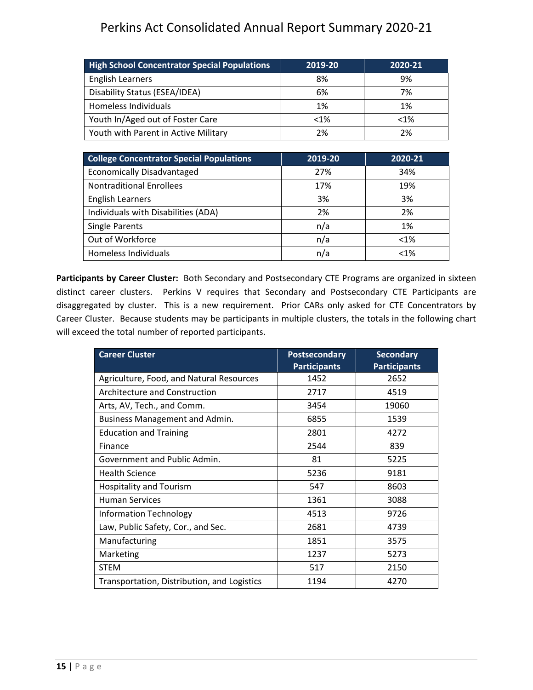| <b>High School Concentrator Special Populations</b> | 2019-20 | 2020-21 |
|-----------------------------------------------------|---------|---------|
| <b>English Learners</b>                             | 8%      | 9%      |
| Disability Status (ESEA/IDEA)                       | 6%      | 7%      |
| Homeless Individuals                                | 1%      | 1%      |
| Youth In/Aged out of Foster Care                    | $< 1\%$ | $< 1\%$ |
| Youth with Parent in Active Military                | 2%      | 2%      |

| <b>College Concentrator Special Populations</b> | 2019-20 | 2020-21 |
|-------------------------------------------------|---------|---------|
| <b>Economically Disadvantaged</b>               | 27%     | 34%     |
| <b>Nontraditional Enrollees</b>                 | 17%     | 19%     |
| <b>English Learners</b>                         | 3%      | 3%      |
| Individuals with Disabilities (ADA)             | 2%      | 2%      |
| <b>Single Parents</b>                           | n/a     | 1%      |
| Out of Workforce                                | n/a     | $< 1\%$ |
| Homeless Individuals                            | n/a     | $< 1\%$ |

<span id="page-15-0"></span>**Participants by Career Cluster:** Both Secondary and Postsecondary CTE Programs are organized in sixteen distinct career clusters. Perkins V requires that Secondary and Postsecondary CTE Participants are disaggregated by cluster. This is a new requirement. Prior CARs only asked for CTE Concentrators by Career Cluster. Because students may be participants in multiple clusters, the totals in the following chart will exceed the total number of reported participants.

| <b>Career Cluster</b>                       | <b>Postsecondary</b><br><b>Participants</b> | <b>Secondary</b><br><b>Participants</b> |
|---------------------------------------------|---------------------------------------------|-----------------------------------------|
| Agriculture, Food, and Natural Resources    | 1452                                        | 2652                                    |
| Architecture and Construction               | 2717                                        | 4519                                    |
| Arts, AV, Tech., and Comm.                  | 3454                                        | 19060                                   |
| Business Management and Admin.              | 6855                                        | 1539                                    |
| <b>Education and Training</b>               | 2801                                        | 4272                                    |
| Finance                                     | 2544                                        | 839                                     |
| Government and Public Admin.                | 81                                          | 5225                                    |
| <b>Health Science</b>                       | 5236                                        | 9181                                    |
| <b>Hospitality and Tourism</b>              | 547                                         | 8603                                    |
| <b>Human Services</b>                       | 1361                                        | 3088                                    |
| <b>Information Technology</b>               | 4513                                        | 9726                                    |
| Law, Public Safety, Cor., and Sec.          | 2681                                        | 4739                                    |
| Manufacturing                               | 1851                                        | 3575                                    |
| Marketing                                   | 1237                                        | 5273                                    |
| <b>STEM</b>                                 | 517                                         | 2150                                    |
| Transportation, Distribution, and Logistics | 1194                                        | 4270                                    |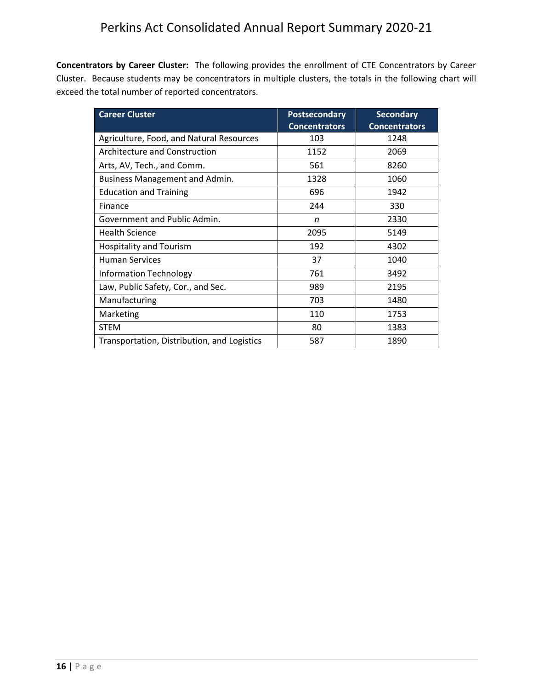<span id="page-16-0"></span>**Concentrators by Career Cluster:** The following provides the enrollment of CTE Concentrators by Career Cluster. Because students may be concentrators in multiple clusters, the totals in the following chart will exceed the total number of reported concentrators.

| <b>Career Cluster</b>                       | <b>Postsecondary</b><br><b>Concentrators</b> | <b>Secondary</b><br><b>Concentrators</b> |
|---------------------------------------------|----------------------------------------------|------------------------------------------|
| Agriculture, Food, and Natural Resources    | 103                                          | 1248                                     |
| Architecture and Construction               | 1152                                         | 2069                                     |
| Arts, AV, Tech., and Comm.                  | 561                                          | 8260                                     |
| Business Management and Admin.              | 1328                                         | 1060                                     |
| <b>Education and Training</b>               | 696                                          | 1942                                     |
| Finance                                     | 244                                          | 330                                      |
| Government and Public Admin.                | n                                            | 2330                                     |
| <b>Health Science</b>                       | 2095                                         | 5149                                     |
| <b>Hospitality and Tourism</b>              | 192                                          | 4302                                     |
| <b>Human Services</b>                       | 37                                           | 1040                                     |
| <b>Information Technology</b>               | 761                                          | 3492                                     |
| Law, Public Safety, Cor., and Sec.          | 989                                          | 2195                                     |
| Manufacturing                               | 703                                          | 1480                                     |
| Marketing                                   | 110                                          | 1753                                     |
| <b>STEM</b>                                 | 80                                           | 1383                                     |
| Transportation, Distribution, and Logistics | 587                                          | 1890                                     |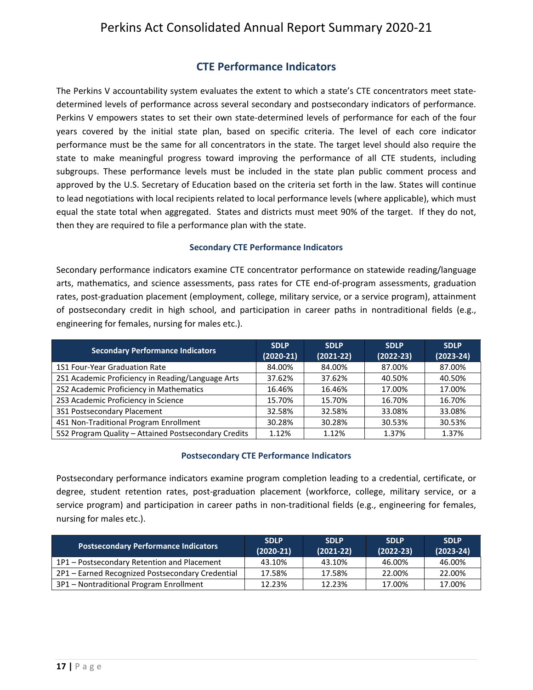## **CTE Performance Indicators**

<span id="page-17-0"></span>The Perkins V accountability system evaluates the extent to which a state's CTE concentrators meet statedetermined levels of performance across several secondary and postsecondary indicators of performance. Perkins V empowers states to set their own state-determined levels of performance for each of the four years covered by the initial state plan, based on specific criteria. The level of each core indicator performance must be the same for all concentrators in the state. The target level should also require the state to make meaningful progress toward improving the performance of all CTE students, including subgroups. These performance levels must be included in the state plan public comment process and approved by the U.S. Secretary of Education based on the criteria set forth in the law. States will continue to lead negotiations with local recipients related to local performance levels (where applicable), which must equal the state total when aggregated. States and districts must meet 90% of the target. If they do not, then they are required to file a performance plan with the state.

#### **Secondary CTE Performance Indicators**

Secondary performance indicators examine CTE concentrator performance on statewide reading/language arts, mathematics, and science assessments, pass rates for CTE end-of-program assessments, graduation rates, post-graduation placement (employment, college, military service, or a service program), attainment of postsecondary credit in high school, and participation in career paths in nontraditional fields (e.g., engineering for females, nursing for males etc.).

| <b>Secondary Performance Indicators</b>              | <b>SDLP</b><br>$(2020-21)$ | <b>SDLP</b><br>$(2021-22)$ | <b>SDLP</b><br>$(2022 - 23)$ | <b>SDLP</b><br>$(2023 - 24)$ |
|------------------------------------------------------|----------------------------|----------------------------|------------------------------|------------------------------|
| 1S1 Four-Year Graduation Rate                        | 84.00%                     | 84.00%                     | 87.00%                       | 87.00%                       |
| 2S1 Academic Proficiency in Reading/Language Arts    | 37.62%                     | 37.62%                     | 40.50%                       | 40.50%                       |
| 2S2 Academic Proficiency in Mathematics              | 16.46%                     | 16.46%                     | 17.00%                       | 17.00%                       |
| 2S3 Academic Proficiency in Science                  | 15.70%                     | 15.70%                     | 16.70%                       | 16.70%                       |
| 3S1 Postsecondary Placement                          | 32.58%                     | 32.58%                     | 33.08%                       | 33.08%                       |
| 4S1 Non-Traditional Program Enrollment               | 30.28%                     | 30.28%                     | 30.53%                       | 30.53%                       |
| 5S2 Program Quality - Attained Postsecondary Credits | 1.12%                      | 1.12%                      | 1.37%                        | 1.37%                        |

#### **Postsecondary CTE Performance Indicators**

Postsecondary performance indicators examine program completion leading to a credential, certificate, or degree, student retention rates, post-graduation placement (workforce, college, military service, or a service program) and participation in career paths in non-traditional fields (e.g., engineering for females, nursing for males etc.).

| <b>Postsecondary Performance Indicators</b>      | <b>SDLP</b><br>$(2020-21)$ | <b>SDLP</b><br>$(2021-22)$ | <b>SDLP</b><br>$(2022 - 23)$ | <b>SDLP</b><br>$(2023-24)$ |
|--------------------------------------------------|----------------------------|----------------------------|------------------------------|----------------------------|
| 1P1 - Postsecondary Retention and Placement      | 43.10%                     | 43.10%                     | 46.00%                       | 46.00%                     |
| 2P1 - Earned Recognized Postsecondary Credential | 17.58%                     | 17.58%                     | 22.00%                       | 22.00%                     |
| 3P1 - Nontraditional Program Enrollment          | 12.23%                     | 12.23%                     | 17.00%                       | 17.00%                     |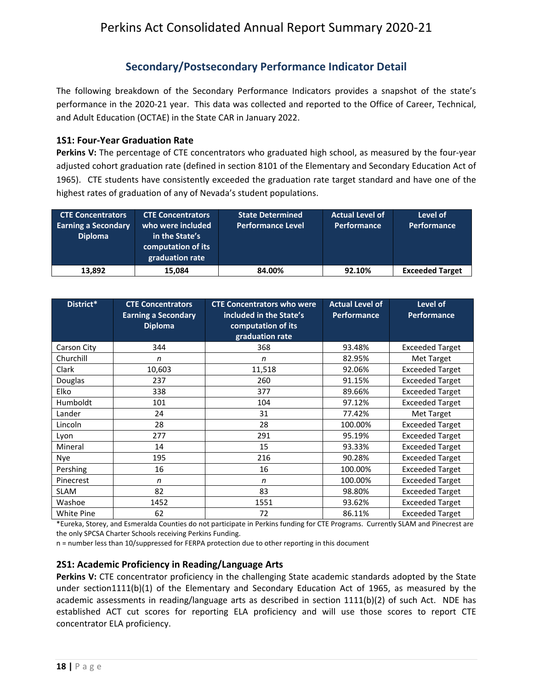## **Secondary/Postsecondary Performance Indicator Detail**

<span id="page-18-0"></span>The following breakdown of the Secondary Performance Indicators provides a snapshot of the state's performance in the 2020-21 year. This data was collected and reported to the Office of Career, Technical, and Adult Education (OCTAE) in the State CAR in January 2022.

#### <span id="page-18-1"></span>**1S1: Four-Year Graduation Rate**

**Perkins V:** The percentage of CTE concentrators who graduated high school, as measured by the four-year adjusted cohort graduation rate (defined in section 8101 of the Elementary and Secondary Education Act of 1965). CTE students have consistently exceeded the graduation rate target standard and have one of the highest rates of graduation of any of Nevada's student populations.

| <b>CTE Concentrators</b><br><b>Earning a Secondary</b><br><b>Diploma</b> | <b>CTE Concentrators</b><br>who were included<br>in the State's<br>computation of its<br>graduation rate | <b>State Determined</b><br>Performance Level | <b>Actual Level of</b><br><b>Performance</b> | Level of<br>Performance |
|--------------------------------------------------------------------------|----------------------------------------------------------------------------------------------------------|----------------------------------------------|----------------------------------------------|-------------------------|
| 13.892                                                                   | 15.084                                                                                                   | 84.00%                                       | 92.10%                                       | <b>Exceeded Target</b>  |

| District*   | <b>CTE Concentrators</b><br><b>Earning a Secondary</b><br><b>Diploma</b> | <b>CTE Concentrators who were</b><br>included in the State's<br>computation of its<br>graduation rate | <b>Actual Level of</b><br><b>Performance</b> | Level of<br><b>Performance</b> |
|-------------|--------------------------------------------------------------------------|-------------------------------------------------------------------------------------------------------|----------------------------------------------|--------------------------------|
| Carson City | 344                                                                      | 368                                                                                                   | 93.48%                                       | <b>Exceeded Target</b>         |
| Churchill   | n                                                                        | n                                                                                                     | 82.95%                                       | Met Target                     |
| Clark       | 10,603                                                                   | 11,518                                                                                                | 92.06%                                       | <b>Exceeded Target</b>         |
| Douglas     | 237                                                                      | 260                                                                                                   | 91.15%                                       | <b>Exceeded Target</b>         |
| Elko        | 338                                                                      | 377                                                                                                   | 89.66%                                       | <b>Exceeded Target</b>         |
| Humboldt    | 101                                                                      | 104                                                                                                   | 97.12%                                       | <b>Exceeded Target</b>         |
| Lander      | 24                                                                       | 31                                                                                                    | 77.42%                                       | Met Target                     |
| Lincoln     | 28                                                                       | 28                                                                                                    | 100.00%                                      | <b>Exceeded Target</b>         |
| Lyon        | 277                                                                      | 291                                                                                                   | 95.19%                                       | <b>Exceeded Target</b>         |
| Mineral     | 14                                                                       | 15                                                                                                    | 93.33%                                       | <b>Exceeded Target</b>         |
| Nye         | 195                                                                      | 216                                                                                                   | 90.28%                                       | <b>Exceeded Target</b>         |
| Pershing    | 16                                                                       | 16                                                                                                    | 100.00%                                      | <b>Exceeded Target</b>         |
| Pinecrest   | n                                                                        | n                                                                                                     | 100.00%                                      | <b>Exceeded Target</b>         |
| <b>SLAM</b> | 82                                                                       | 83                                                                                                    | 98.80%                                       | <b>Exceeded Target</b>         |
| Washoe      | 1452                                                                     | 1551                                                                                                  | 93.62%                                       | <b>Exceeded Target</b>         |
| White Pine  | 62                                                                       | 72                                                                                                    | 86.11%                                       | <b>Exceeded Target</b>         |

\*Eureka, Storey, and Esmeralda Counties do not participate in Perkins funding for CTE Programs. Currently SLAM and Pinecrest are the only SPCSA Charter Schools receiving Perkins Funding.

n = number less than 10/suppressed for FERPA protection due to other reporting in this document

#### <span id="page-18-2"></span>**2S1: Academic Proficiency in Reading/Language Arts**

**Perkins V:** CTE concentrator proficiency in the challenging State academic standards adopted by the State under section1111(b)(1) of the Elementary and Secondary Education Act of 1965, as measured by the academic assessments in reading/language arts as described in section 1111(b)(2) of such Act. NDE has established ACT cut scores for reporting ELA proficiency and will use those scores to report CTE concentrator ELA proficiency.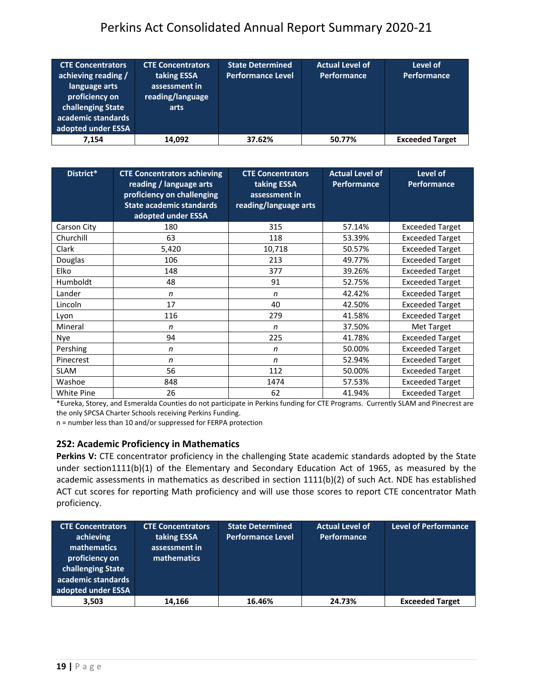| <b>CTE Concentrators</b><br>achieving reading /<br>language arts<br>proficiency on<br>challenging State<br>academic standards<br>adopted under ESSA | <b>CTE Concentrators</b><br>taking ESSA<br>assessment in<br>reading/language<br>arts | <b>State Determined</b><br><b>Performance Level</b> | <b>Actual Level of</b><br><b>Performance</b> | Level of<br>Performance |
|-----------------------------------------------------------------------------------------------------------------------------------------------------|--------------------------------------------------------------------------------------|-----------------------------------------------------|----------------------------------------------|-------------------------|
| 7.154                                                                                                                                               | 14,092                                                                               | 37.62%                                              | 50.77%                                       | <b>Exceeded Target</b>  |

| District*   | <b>CTE Concentrators achieving</b><br>reading / language arts<br>proficiency on challenging<br><b>State academic standards</b><br>adopted under ESSA | <b>CTE Concentrators</b><br>taking ESSA<br>assessment in<br>reading/language arts | <b>Actual Level of</b><br><b>Performance</b> | Level of<br><b>Performance</b> |
|-------------|------------------------------------------------------------------------------------------------------------------------------------------------------|-----------------------------------------------------------------------------------|----------------------------------------------|--------------------------------|
| Carson City | 180                                                                                                                                                  | 315                                                                               | 57.14%                                       | <b>Exceeded Target</b>         |
| Churchill   | 63                                                                                                                                                   | 118                                                                               | 53.39%                                       | <b>Exceeded Target</b>         |
| Clark       | 5,420                                                                                                                                                | 10,718                                                                            | 50.57%                                       | <b>Exceeded Target</b>         |
| Douglas     | 106                                                                                                                                                  | 213                                                                               | 49.77%                                       | <b>Exceeded Target</b>         |
| <b>Elko</b> | 148                                                                                                                                                  | 377                                                                               | 39.26%                                       | <b>Exceeded Target</b>         |
| Humboldt    | 48                                                                                                                                                   | 91                                                                                | 52.75%                                       | <b>Exceeded Target</b>         |
| Lander      | n                                                                                                                                                    | n                                                                                 | 42.42%                                       | <b>Exceeded Target</b>         |
| Lincoln     | 17                                                                                                                                                   | 40                                                                                | 42.50%                                       | <b>Exceeded Target</b>         |
| Lyon        | 116                                                                                                                                                  | 279                                                                               | 41.58%                                       | <b>Exceeded Target</b>         |
| Mineral     | n                                                                                                                                                    | n                                                                                 | 37.50%                                       | <b>Met Target</b>              |
| Nye         | 94                                                                                                                                                   | 225                                                                               | 41.78%                                       | <b>Exceeded Target</b>         |
| Pershing    | n                                                                                                                                                    | n                                                                                 | 50.00%                                       | <b>Exceeded Target</b>         |
| Pinecrest   | n                                                                                                                                                    | n                                                                                 | 52.94%                                       | <b>Exceeded Target</b>         |
| <b>SLAM</b> | 56                                                                                                                                                   | 112                                                                               | 50.00%                                       | <b>Exceeded Target</b>         |
| Washoe      | 848                                                                                                                                                  | 1474                                                                              | 57.53%                                       | <b>Exceeded Target</b>         |
| White Pine  | 26                                                                                                                                                   | 62                                                                                | 41.94%                                       | <b>Exceeded Target</b>         |

\*Eureka, Storey, and Esmeralda Counties do not participate in Perkins funding for CTE Programs. Currently SLAM and Pinecrest are the only SPCSA Charter Schools receiving Perkins Funding.

n = number less than 10 and/or suppressed for FERPA protection

#### <span id="page-19-0"></span>**2S2: Academic Proficiency in Mathematics**

Perkins V: CTE concentrator proficiency in the challenging State academic standards adopted by the State under section1111(b)(1) of the Elementary and Secondary Education Act of 1965, as measured by the academic assessments in mathematics as described in section 1111(b)(2) of such Act. NDE has established ACT cut scores for reporting Math proficiency and will use those scores to report CTE concentrator Math proficiency.

| <b>CTE Concentrators</b><br>achieving<br>mathematics<br>proficiency on<br>challenging State<br>academic standards<br>adopted under ESSA | <b>CTE Concentrators</b><br>taking ESSA<br>assessment in<br>mathematics | <b>State Determined</b><br><b>Performance Level</b> | <b>Actual Level of</b><br>Performance | <b>Level of Performance</b> |
|-----------------------------------------------------------------------------------------------------------------------------------------|-------------------------------------------------------------------------|-----------------------------------------------------|---------------------------------------|-----------------------------|
| 3,503                                                                                                                                   | 14.166                                                                  | 16.46%                                              | 24.73%                                | <b>Exceeded Target</b>      |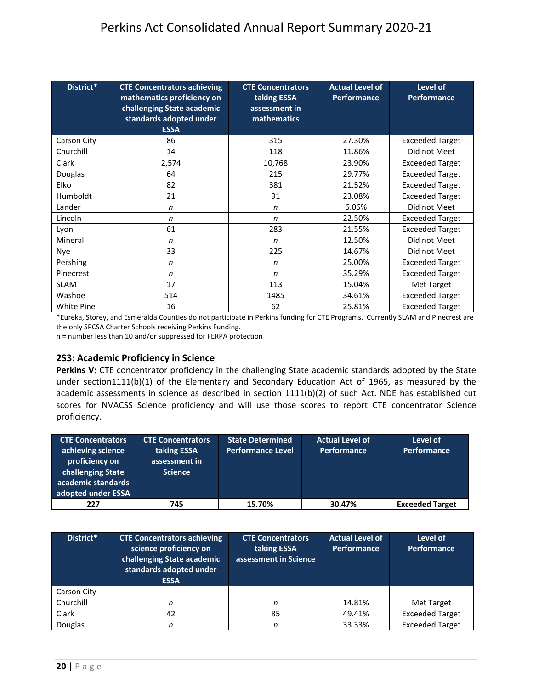| District*         | <b>CTE Concentrators achieving</b><br>mathematics proficiency on<br>challenging State academic<br>standards adopted under<br><b>ESSA</b> | <b>CTE Concentrators</b><br>taking ESSA<br>assessment in<br>mathematics | <b>Actual Level of</b><br>Performance | Level of<br><b>Performance</b> |
|-------------------|------------------------------------------------------------------------------------------------------------------------------------------|-------------------------------------------------------------------------|---------------------------------------|--------------------------------|
| Carson City       | 86                                                                                                                                       | 315                                                                     | 27.30%                                | <b>Exceeded Target</b>         |
| Churchill         | 14                                                                                                                                       | 118                                                                     | 11.86%                                | Did not Meet                   |
| Clark             | 2,574                                                                                                                                    | 10,768                                                                  | 23.90%                                | <b>Exceeded Target</b>         |
| Douglas           | 64                                                                                                                                       | 215                                                                     | 29.77%                                | <b>Exceeded Target</b>         |
| Elko              | 82                                                                                                                                       | 381                                                                     | 21.52%                                | <b>Exceeded Target</b>         |
| Humboldt          | 21                                                                                                                                       | 91                                                                      | 23.08%                                | <b>Exceeded Target</b>         |
| Lander            | n                                                                                                                                        | n                                                                       | 6.06%                                 | Did not Meet                   |
| Lincoln           | $\mathsf{n}$                                                                                                                             | n                                                                       | 22.50%                                | <b>Exceeded Target</b>         |
| Lyon              | 61                                                                                                                                       | 283                                                                     | 21.55%                                | <b>Exceeded Target</b>         |
| Mineral           | n                                                                                                                                        | n                                                                       | 12.50%                                | Did not Meet                   |
| <b>Nye</b>        | 33                                                                                                                                       | 225                                                                     | 14.67%                                | Did not Meet                   |
| Pershing          | n                                                                                                                                        | n                                                                       | 25.00%                                | <b>Exceeded Target</b>         |
| Pinecrest         | $\mathsf{n}$                                                                                                                             | n                                                                       | 35.29%                                | <b>Exceeded Target</b>         |
| <b>SLAM</b>       | 17                                                                                                                                       | 113                                                                     | 15.04%                                | Met Target                     |
| Washoe            | 514                                                                                                                                      | 1485                                                                    | 34.61%                                | <b>Exceeded Target</b>         |
| <b>White Pine</b> | 16                                                                                                                                       | 62                                                                      | 25.81%                                | <b>Exceeded Target</b>         |

\*Eureka, Storey, and Esmeralda Counties do not participate in Perkins funding for CTE Programs. Currently SLAM and Pinecrest are the only SPCSA Charter Schools receiving Perkins Funding.

n = number less than 10 and/or suppressed for FERPA protection

#### <span id="page-20-0"></span>**2S3: Academic Proficiency in Science**

**Perkins V:** CTE concentrator proficiency in the challenging State academic standards adopted by the State under section1111(b)(1) of the Elementary and Secondary Education Act of 1965, as measured by the academic assessments in science as described in section 1111(b)(2) of such Act. NDE has established cut scores for NVACSS Science proficiency and will use those scores to report CTE concentrator Science proficiency.

| <b>CTE Concentrators</b><br>achieving science<br>proficiency on<br>challenging State<br>academic standards<br>adopted under ESSA | <b>CTE Concentrators</b><br>taking ESSA<br>assessment in<br><b>Science</b> | <b>State Determined</b><br><b>Performance Level</b> | <b>Actual Level of</b><br><b>Performance</b> | Level of<br><b>Performance</b> |
|----------------------------------------------------------------------------------------------------------------------------------|----------------------------------------------------------------------------|-----------------------------------------------------|----------------------------------------------|--------------------------------|
| 227                                                                                                                              | 745                                                                        | 15.70%                                              | 30.47%                                       | <b>Exceeded Target</b>         |

| District*   | <b>CTE Concentrators achieving</b><br>science proficiency on<br>challenging State academic<br>standards adopted under<br><b>ESSA</b> | <b>CTE Concentrators</b><br>taking ESSA<br>assessment in Science | <b>Actual Level of</b><br>Performance | Level of<br><b>Performance</b> |
|-------------|--------------------------------------------------------------------------------------------------------------------------------------|------------------------------------------------------------------|---------------------------------------|--------------------------------|
| Carson City |                                                                                                                                      | -                                                                |                                       |                                |
| Churchill   |                                                                                                                                      |                                                                  | 14.81%                                | Met Target                     |
| Clark       | 42                                                                                                                                   | 85                                                               | 49.41%                                | <b>Exceeded Target</b>         |
| Douglas     |                                                                                                                                      |                                                                  | 33.33%                                | <b>Exceeded Target</b>         |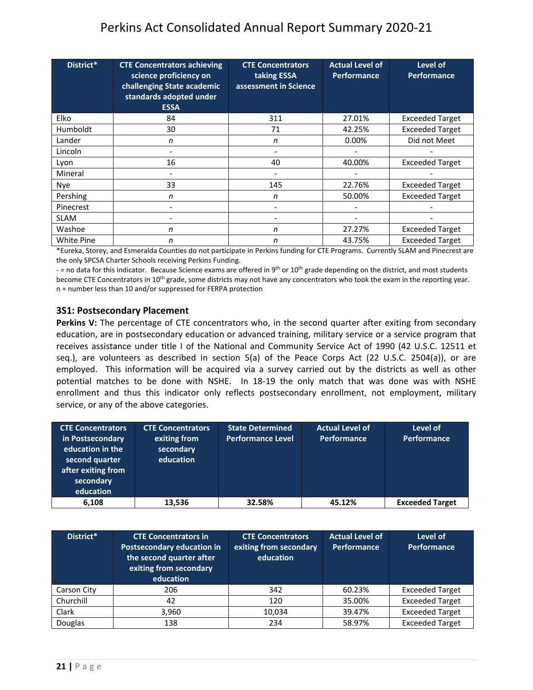| District*         | <b>CTE Concentrators achieving</b><br>science proficiency on<br>challenging State academic<br>standards adopted under<br><b>ESSA</b> | <b>CTE Concentrators</b><br>taking ESSA<br>assessment in Science | <b>Actual Level of</b><br><b>Performance</b> | Level of<br><b>Performance</b> |
|-------------------|--------------------------------------------------------------------------------------------------------------------------------------|------------------------------------------------------------------|----------------------------------------------|--------------------------------|
| <b>Elko</b>       | 84                                                                                                                                   | 311                                                              | 27.01%                                       | <b>Exceeded Target</b>         |
| <b>Humboldt</b>   | 30                                                                                                                                   | 71                                                               | 42.25%                                       | <b>Exceeded Target</b>         |
| Lander            | n                                                                                                                                    | n                                                                | 0.00%                                        | Did not Meet                   |
| Lincoln           |                                                                                                                                      |                                                                  |                                              |                                |
| Lyon              | 16                                                                                                                                   | 40                                                               | 40.00%                                       | <b>Exceeded Target</b>         |
| Mineral           | $\overline{\phantom{0}}$                                                                                                             |                                                                  |                                              |                                |
| <b>Nye</b>        | 33                                                                                                                                   | 145                                                              | 22.76%                                       | <b>Exceeded Target</b>         |
| Pershing          | n                                                                                                                                    | n                                                                | 50.00%                                       | <b>Exceeded Target</b>         |
| Pinecrest         |                                                                                                                                      |                                                                  |                                              |                                |
| <b>SLAM</b>       |                                                                                                                                      |                                                                  |                                              |                                |
| Washoe            | n                                                                                                                                    | n                                                                | 27.27%                                       | <b>Exceeded Target</b>         |
| <b>White Pine</b> | n                                                                                                                                    | n                                                                | 43.75%                                       | <b>Exceeded Target</b>         |

\*Eureka, Storey, and Esmeralda Counties do not participate in Perkins funding for CTE Programs. Currently SLAM and Pinecrest are the only SPCSA Charter Schools receiving Perkins Funding.

- = no data for this indicator. Because Science exams are offered in 9<sup>th</sup> or 10<sup>th</sup> grade depending on the district, and most students become CTE Concentrators in 10<sup>th</sup> grade, some districts may not have any concentrators who took the exam in the reporting year. n = number less than 10 and/or suppressed for FERPA protection

#### <span id="page-21-0"></span>**3S1: Postsecondary Placement**

**Perkins V:** The percentage of CTE concentrators who, in the second quarter after exiting from secondary education, are in postsecondary education or advanced training, military service or a service program that receives assistance under title I of the National and Community Service Act of 1990 (42 U.S.C. 12511 et seq.), are volunteers as described in section 5(a) of the Peace Corps Act (22 U.S.C. 2504(a)), or are employed. This information will be acquired via a survey carried out by the districts as well as other potential matches to be done with NSHE. In 18-19 the only match that was done was with NSHE enrollment and thus this indicator only reflects postsecondary enrollment, not employment, military service, or any of the above categories.

| <b>CTE Concentrators</b><br>in Postsecondary<br>education in the<br>second quarter<br>after exiting from<br>secondary<br>education | <b>CTE Concentrators</b><br>exiting from<br>secondary<br>education | <b>State Determined</b><br><b>Performance Level</b> | <b>Actual Level of</b><br><b>Performance</b> | Level of<br><b>Performance</b> |
|------------------------------------------------------------------------------------------------------------------------------------|--------------------------------------------------------------------|-----------------------------------------------------|----------------------------------------------|--------------------------------|
| 6,108                                                                                                                              | 13,536                                                             | 32.58%                                              | 45.12%                                       | <b>Exceeded Target</b>         |

| District*   | <b>CTE Concentrators in</b><br><b>Postsecondary education in</b><br>the second quarter after<br>exiting from secondary<br>education | <b>CTE Concentrators</b><br>exiting from secondary<br>education | <b>Actual Level of</b><br>Performance | Level of<br>Performance |
|-------------|-------------------------------------------------------------------------------------------------------------------------------------|-----------------------------------------------------------------|---------------------------------------|-------------------------|
| Carson City | 206                                                                                                                                 | 342                                                             | 60.23%                                | <b>Exceeded Target</b>  |
| Churchill   | 42                                                                                                                                  | 120                                                             | 35.00%                                | <b>Exceeded Target</b>  |
| Clark       | 3,960                                                                                                                               | 10,034                                                          | 39.47%                                | <b>Exceeded Target</b>  |
| Douglas     | 138                                                                                                                                 | 234                                                             | 58.97%                                | <b>Exceeded Target</b>  |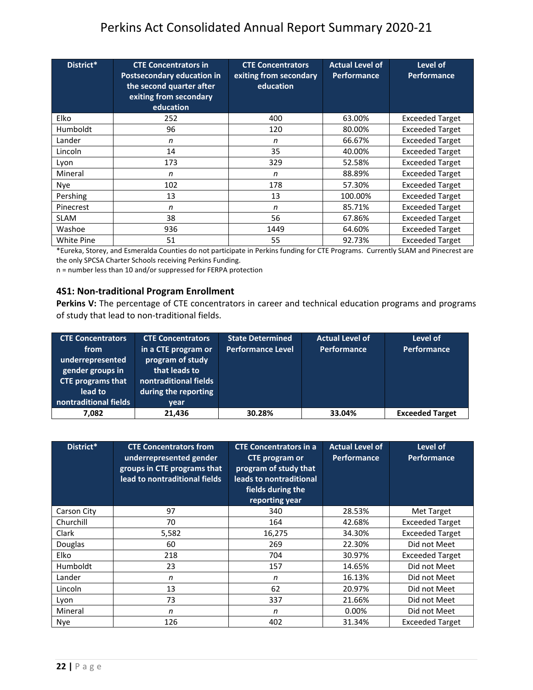| District*       | <b>CTE Concentrators in</b><br><b>Postsecondary education in</b><br>the second quarter after<br>exiting from secondary<br>education | <b>CTE Concentrators</b><br>exiting from secondary<br>education | <b>Actual Level of</b><br><b>Performance</b> | Level of<br><b>Performance</b> |
|-----------------|-------------------------------------------------------------------------------------------------------------------------------------|-----------------------------------------------------------------|----------------------------------------------|--------------------------------|
| <b>Elko</b>     | 252                                                                                                                                 | 400                                                             | 63.00%                                       | <b>Exceeded Target</b>         |
| <b>Humboldt</b> | 96                                                                                                                                  | 120                                                             | 80.00%                                       | <b>Exceeded Target</b>         |
| Lander          | n                                                                                                                                   | n                                                               | 66.67%                                       | <b>Exceeded Target</b>         |
| Lincoln         | 14                                                                                                                                  | 35                                                              | 40.00%                                       | <b>Exceeded Target</b>         |
| Lyon            | 173                                                                                                                                 | 329                                                             | 52.58%                                       | <b>Exceeded Target</b>         |
| Mineral         | n                                                                                                                                   | n                                                               | 88.89%                                       | <b>Exceeded Target</b>         |
| Nye             | 102                                                                                                                                 | 178                                                             | 57.30%                                       | <b>Exceeded Target</b>         |
| Pershing        | 13                                                                                                                                  | 13                                                              | 100.00%                                      | <b>Exceeded Target</b>         |
| Pinecrest       | n                                                                                                                                   | n                                                               | 85.71%                                       | <b>Exceeded Target</b>         |
| <b>SLAM</b>     | 38                                                                                                                                  | 56                                                              | 67.86%                                       | <b>Exceeded Target</b>         |
| Washoe          | 936                                                                                                                                 | 1449                                                            | 64.60%                                       | <b>Exceeded Target</b>         |
| White Pine      | 51                                                                                                                                  | 55                                                              | 92.73%                                       | <b>Exceeded Target</b>         |

\*Eureka, Storey, and Esmeralda Counties do not participate in Perkins funding for CTE Programs. Currently SLAM and Pinecrest are the only SPCSA Charter Schools receiving Perkins Funding.

n = number less than 10 and/or suppressed for FERPA protection

#### <span id="page-22-0"></span>**4S1: Non-traditional Program Enrollment**

Perkins V: The percentage of CTE concentrators in career and technical education programs and programs of study that lead to non-traditional fields.

| <b>CTE Concentrators</b><br>from<br>underrepresented<br>gender groups in<br><b>CTE programs that</b><br>lead to<br>nontraditional fields | <b>CTE Concentrators</b><br>in a CTE program or<br>program of study<br>that leads to<br>nontraditional fields<br>during the reporting<br>vear | <b>State Determined</b><br><b>Performance Level</b> | <b>Actual Level of</b><br><b>Performance</b> | Level of<br>Performance |
|------------------------------------------------------------------------------------------------------------------------------------------|-----------------------------------------------------------------------------------------------------------------------------------------------|-----------------------------------------------------|----------------------------------------------|-------------------------|
| 7.082                                                                                                                                    | 21.436                                                                                                                                        | 30.28%                                              | 33.04%                                       | <b>Exceeded Target</b>  |

| District*   | <b>CTE Concentrators from</b><br>underrepresented gender<br>groups in CTE programs that<br>lead to nontraditional fields | <b>CTE Concentrators in a</b><br><b>CTE</b> program or<br>program of study that<br>leads to nontraditional<br>fields during the<br>reporting year | <b>Actual Level of</b><br><b>Performance</b> | Level of<br><b>Performance</b> |
|-------------|--------------------------------------------------------------------------------------------------------------------------|---------------------------------------------------------------------------------------------------------------------------------------------------|----------------------------------------------|--------------------------------|
| Carson City | 97                                                                                                                       | 340                                                                                                                                               | 28.53%                                       | Met Target                     |
| Churchill   | 70                                                                                                                       | 164                                                                                                                                               | 42.68%                                       | <b>Exceeded Target</b>         |
| Clark       | 5,582                                                                                                                    | 16,275                                                                                                                                            | 34.30%                                       | <b>Exceeded Target</b>         |
| Douglas     | 60                                                                                                                       | 269                                                                                                                                               | 22.30%                                       | Did not Meet                   |
| Elko        | 218                                                                                                                      | 704                                                                                                                                               | 30.97%                                       | <b>Exceeded Target</b>         |
| Humboldt    | 23                                                                                                                       | 157                                                                                                                                               | 14.65%                                       | Did not Meet                   |
| Lander      | n                                                                                                                        | n                                                                                                                                                 | 16.13%                                       | Did not Meet                   |
| Lincoln     | 13                                                                                                                       | 62                                                                                                                                                | 20.97%                                       | Did not Meet                   |
| Lyon        | 73                                                                                                                       | 337                                                                                                                                               | 21.66%                                       | Did not Meet                   |
| Mineral     | n                                                                                                                        | n                                                                                                                                                 | 0.00%                                        | Did not Meet                   |
| <b>Nye</b>  | 126                                                                                                                      | 402                                                                                                                                               | 31.34%                                       | <b>Exceeded Target</b>         |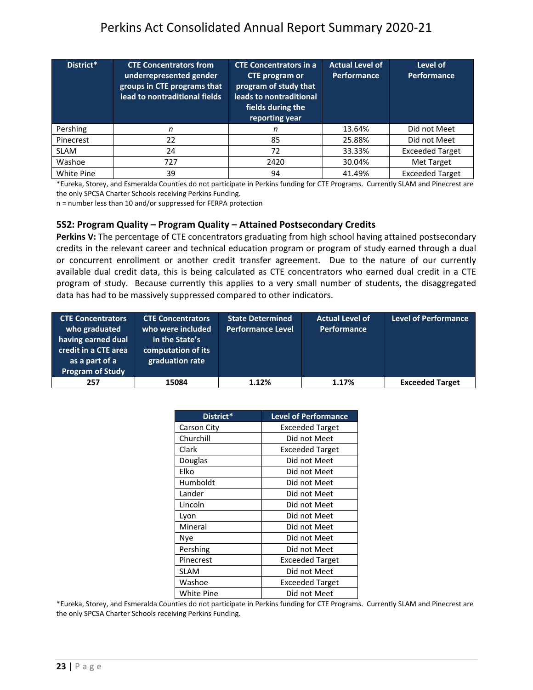| District*   | <b>CTE Concentrators from</b><br>underrepresented gender<br>groups in CTE programs that<br>lead to nontraditional fields | <b>CTE Concentrators in a</b><br><b>CTE</b> program or<br>program of study that<br>leads to nontraditional<br>fields during the<br>reporting year | <b>Actual Level of</b><br><b>Performance</b> | Level of<br><b>Performance</b> |
|-------------|--------------------------------------------------------------------------------------------------------------------------|---------------------------------------------------------------------------------------------------------------------------------------------------|----------------------------------------------|--------------------------------|
| Pershing    | n                                                                                                                        | n                                                                                                                                                 | 13.64%                                       | Did not Meet                   |
| Pinecrest   | 22                                                                                                                       | 85                                                                                                                                                | 25.88%                                       | Did not Meet                   |
| <b>SLAM</b> | 24                                                                                                                       | 72                                                                                                                                                | 33.33%                                       | <b>Exceeded Target</b>         |
| Washoe      | 727                                                                                                                      | 2420                                                                                                                                              | 30.04%                                       | Met Target                     |
| White Pine  | 39                                                                                                                       | 94                                                                                                                                                | 41.49%                                       | <b>Exceeded Target</b>         |

\*Eureka, Storey, and Esmeralda Counties do not participate in Perkins funding for CTE Programs. Currently SLAM and Pinecrest are the only SPCSA Charter Schools receiving Perkins Funding.

n = number less than 10 and/or suppressed for FERPA protection

#### <span id="page-23-0"></span>**5S2: Program Quality – Program Quality – Attained Postsecondary Credits**

**Perkins V:** The percentage of CTE concentrators graduating from high school having attained postsecondary credits in the relevant career and technical education program or program of study earned through a dual or concurrent enrollment or another credit transfer agreement. Due to the nature of our currently available dual credit data, this is being calculated as CTE concentrators who earned dual credit in a CTE program of study. Because currently this applies to a very small number of students, the disaggregated data has had to be massively suppressed compared to other indicators.

| <b>CTE Concentrators</b><br>who graduated<br>having earned dual<br>credit in a CTE area<br>as a part of a<br><b>Program of Study</b> | <b>CTE Concentrators</b><br>who were included<br>in the State's<br>computation of its<br>graduation rate | <b>State Determined</b><br><b>Performance Level</b> | <b>Actual Level of</b><br>Performance | <b>Level of Performance</b> |
|--------------------------------------------------------------------------------------------------------------------------------------|----------------------------------------------------------------------------------------------------------|-----------------------------------------------------|---------------------------------------|-----------------------------|
| 257                                                                                                                                  | 15084                                                                                                    | 1.12%                                               | 1.17%                                 | <b>Exceeded Target</b>      |

| District*   | <b>Level of Performance</b> |  |
|-------------|-----------------------------|--|
| Carson City | <b>Exceeded Target</b>      |  |
| Churchill   | Did not Meet                |  |
| Clark       | <b>Exceeded Target</b>      |  |
| Douglas     | Did not Meet                |  |
| Elko        | Did not Meet                |  |
| Humboldt    | Did not Meet                |  |
| Lander      | Did not Meet                |  |
| Lincoln     | Did not Meet                |  |
| Lyon        | Did not Meet                |  |
| Mineral     | Did not Meet                |  |
| Nye         | Did not Meet                |  |
| Pershing    | Did not Meet                |  |
| Pinecrest   | <b>Exceeded Target</b>      |  |
| SLAM        | Did not Meet                |  |
| Washoe      | Exceeded Target             |  |
| White Pine  | Did not Meet                |  |

<span id="page-23-1"></span>\*Eureka, Storey, and Esmeralda Counties do not participate in Perkins funding for CTE Programs. Currently SLAM and Pinecrest are the only SPCSA Charter Schools receiving Perkins Funding.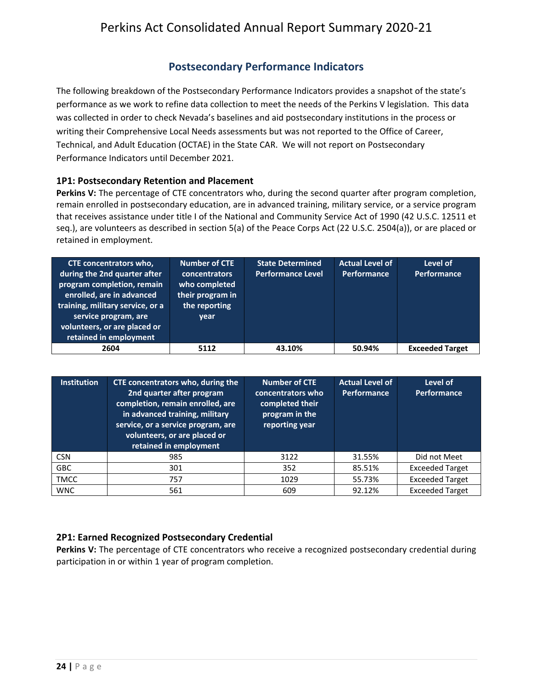## **Postsecondary Performance Indicators**

The following breakdown of the Postsecondary Performance Indicators provides a snapshot of the state's performance as we work to refine data collection to meet the needs of the Perkins V legislation. This data was collected in order to check Nevada's baselines and aid postsecondary institutions in the process or writing their Comprehensive Local Needs assessments but was not reported to the Office of Career, Technical, and Adult Education (OCTAE) in the State CAR. We will not report on Postsecondary Performance Indicators until December 2021.

#### <span id="page-24-0"></span>**1P1: Postsecondary Retention and Placement**

**Perkins V:** The percentage of CTE concentrators who, during the second quarter after program completion, remain enrolled in postsecondary education, are in advanced training, military service, or a service program that receives assistance under title I of the National and Community Service Act of 1990 (42 U.S.C. 12511 et seq.), are volunteers as described in section 5(a) of the Peace Corps Act (22 U.S.C. 2504(a)), or are placed or retained in employment.

| <b>CTE concentrators who,</b><br>during the 2nd quarter after<br>program completion, remain<br>enrolled, are in advanced<br>training, military service, or a<br>service program, are<br>volunteers, or are placed or<br>retained in employment | Number of CTE<br><b>concentrators</b><br>who completed<br>their program in<br>the reporting<br>year | <b>State Determined</b><br><b>Performance Level</b> | <b>Actual Level of</b><br><b>Performance</b> | Level of<br><b>Performance</b> |
|------------------------------------------------------------------------------------------------------------------------------------------------------------------------------------------------------------------------------------------------|-----------------------------------------------------------------------------------------------------|-----------------------------------------------------|----------------------------------------------|--------------------------------|
| 2604                                                                                                                                                                                                                                           | 5112                                                                                                | 43.10%                                              | 50.94%                                       | <b>Exceeded Target</b>         |

| <b>Institution</b> | CTE concentrators who, during the<br>2nd quarter after program<br>completion, remain enrolled, are<br>in advanced training, military<br>service, or a service program, are<br>volunteers, or are placed or<br>retained in employment | Number of CTE<br>concentrators who<br>completed their<br>program in the<br>reporting year | <b>Actual Level of</b><br><b>Performance</b> | Level of<br><b>Performance</b> |
|--------------------|--------------------------------------------------------------------------------------------------------------------------------------------------------------------------------------------------------------------------------------|-------------------------------------------------------------------------------------------|----------------------------------------------|--------------------------------|
| <b>CSN</b>         | 985                                                                                                                                                                                                                                  | 3122                                                                                      | 31.55%                                       | Did not Meet                   |
| <b>GBC</b>         | 301                                                                                                                                                                                                                                  | 352                                                                                       | 85.51%                                       | <b>Exceeded Target</b>         |
| <b>TMCC</b>        | 757                                                                                                                                                                                                                                  | 1029                                                                                      | 55.73%                                       | <b>Exceeded Target</b>         |
| <b>WNC</b>         | 561                                                                                                                                                                                                                                  | 609                                                                                       | 92.12%                                       | <b>Exceeded Target</b>         |

#### <span id="page-24-1"></span>**2P1: Earned Recognized Postsecondary Credential**

**Perkins V:** The percentage of CTE concentrators who receive a recognized postsecondary credential during participation in or within 1 year of program completion.